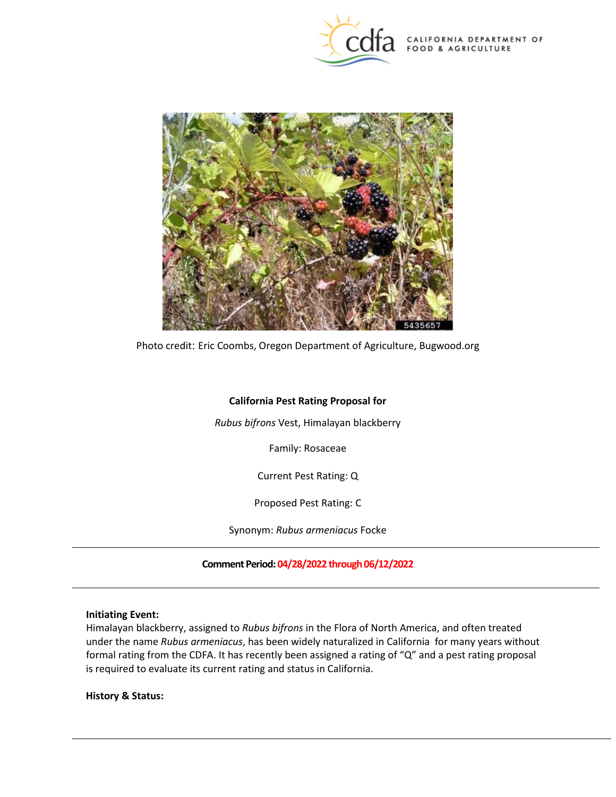

CALIFORNIA DEPARTMENT OF FOOD & AGRICULTURE



Photo credit: Eric Coombs, Oregon Department of Agriculture, [Bugwood.org](https://Bugwood.org) 

# **California Pest Rating Proposal for**

*Rubus bifrons* Vest, Himalayan blackberry

Family: Rosaceae

Current Pest Rating: Q

Proposed Pest Rating: C

Synonym: *Rubus armeniacus* Focke

**Comment Period: 04/28/2022 through 06/12/2022** 

## **Initiating Event:**

 Himalayan blackberry, assigned to *Rubus bifrons* in the Flora of North America, and often treated under the name *Rubus armeniacus*, has been widely naturalized in California for many years without is required to evaluate its current rating and status in California. formal rating from the CDFA. It has recently been assigned a rating of "Q" and a pest rating proposal

**History & Status:**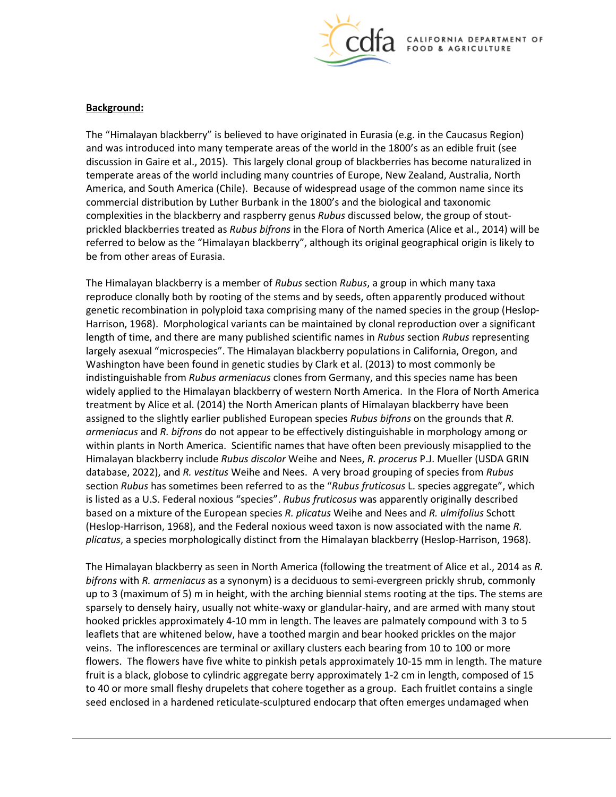

#### **Background:**

 The "Himalayan blackberry" is believed to have originated in Eurasia (e.g. in the Caucasus Region) and was introduced into many temperate areas of the world in the 1800's as an edible fruit (see discussion in Gaire et al., 2015). This largely clonal group of blackberries has become naturalized in temperate areas of the world including many countries of Europe, New Zealand, Australia, North America, and South America (Chile). Because of widespread usage of the common name since its commercial distribution by Luther Burbank in the 1800's and the biological and taxonomic prickled blackberries treated as *Rubus bifrons* in the Flora of North America (Alice et al., 2014) will be complexities in the blackberry and raspberry genus *Rubus* discussed below, the group of stoutreferred to below as the "Himalayan blackberry", although its original geographical origin is likely to be from other areas of Eurasia.

 reproduce clonally both by rooting of the stems and by seeds, often apparently produced without Harrison, 1968). Morphological variants can be maintained by clonal reproduction over a significant length of time, and there are many published scientific names in *Rubus* section *Rubus* representing indistinguishable from *Rubus armeniacus* clones from Germany, and this species name has been *armeniacus* and *R. bifrons* do not appear to be effectively distinguishable in morphology among or within plants in North America. Scientific names that have often been previously misapplied to the Himalayan blackberry include *Rubus discolor* Weihe and Nees, *R. procerus* P.J. Mueller (USDA GRIN section *Rubus* has sometimes been referred to as the "*Rubus fruticosus* L. species aggregate", which The Himalayan blackberry is a member of *Rubus* section *Rubus*, a group in which many taxa genetic recombination in polyploid taxa comprising many of the named species in the group (Hesloplargely asexual "microspecies". The Himalayan blackberry populations in California, Oregon, and Washington have been found in genetic studies by Clark et al. (2013) to most commonly be widely applied to the Himalayan blackberry of western North America. In the Flora of North America treatment by Alice et al. (2014) the North American plants of Himalayan blackberry have been assigned to the slightly earlier published European species *Rubus bifrons* on the grounds that *R.*  database, 2022), and *R. vestitus* Weihe and Nees. A very broad grouping of species from *Rubus*  is listed as a U.S. Federal noxious "species". *Rubus fruticosus* was apparently originally described based on a mixture of the European species *R. plicatus* Weihe and Nees and *R. ulmifolius* Schott (Heslop-Harrison, 1968), and the Federal noxious weed taxon is now associated with the name *R. plicatus*, a species morphologically distinct from the Himalayan blackberry (Heslop-Harrison, 1968).

 The Himalayan blackberry as seen in North America (following the treatment of Alice et al., 2014 as *R.*  up to 3 (maximum of 5) m in height, with the arching biennial stems rooting at the tips. The stems are sparsely to densely hairy, usually not white-waxy or glandular-hairy, and are armed with many stout hooked prickles approximately 4-10 mm in length. The leaves are palmately compound with 3 to 5 leaflets that are whitened below, have a toothed margin and bear hooked prickles on the major veins. The inflorescences are terminal or axillary clusters each bearing from 10 to 100 or more flowers. The flowers have five white to pinkish petals approximately 10-15 mm in length. The mature to 40 or more small fleshy drupelets that cohere together as a group. Each fruitlet contains a single seed enclosed in a hardened reticulate-sculptured endocarp that often emerges undamaged when *bifrons* with *R. armeniacus* as a synonym) is a deciduous to semi-evergreen prickly shrub, commonly fruit is a black, globose to cylindric aggregate berry approximately 1-2 cm in length, composed of 15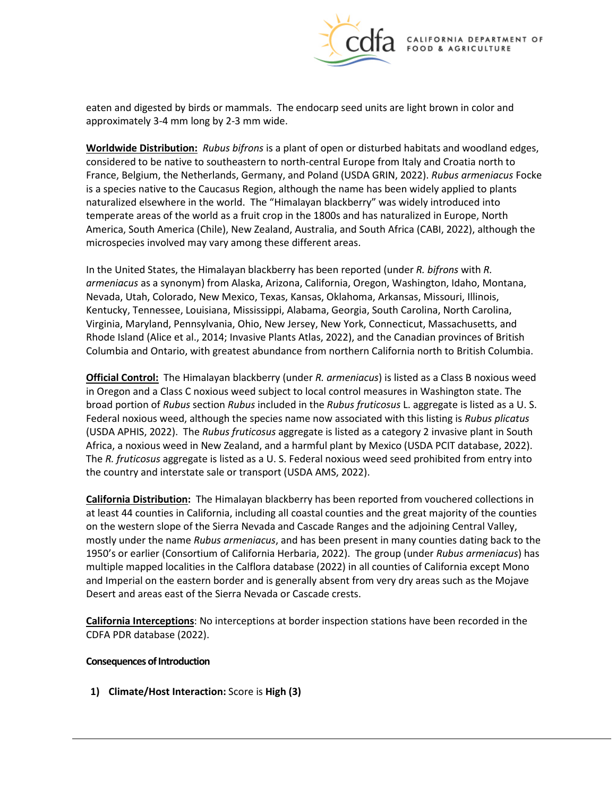

 eaten and digested by birds or mammals. The endocarp seed units are light brown in color and approximately 3-4 mm long by 2-3 mm wide.

 **Worldwide Distribution:** *Rubus bifrons* is a plant of open or disturbed habitats and woodland edges, considered to be native to southeastern to north-central Europe from Italy and Croatia north to is a species native to the Caucasus Region, although the name has been widely applied to plants naturalized elsewhere in the world. The "Himalayan blackberry" was widely introduced into temperate areas of the world as a fruit crop in the 1800s and has naturalized in Europe, North microspecies involved may vary among these different areas. France, Belgium, the Netherlands, Germany, and Poland (USDA GRIN, 2022). *Rubus armeniacus* Focke America, South America (Chile), New Zealand, Australia, and South Africa (CABI, 2022), although the

 *armeniacus* as a synonym) from Alaska, Arizona, California, Oregon, Washington, Idaho, Montana, Nevada, Utah, Colorado, New Mexico, Texas, Kansas, Oklahoma, Arkansas, Missouri, Illinois, Kentucky, Tennessee, Louisiana, Mississippi, Alabama, Georgia, South Carolina, North Carolina, Rhode Island (Alice et al., 2014; Invasive Plants Atlas, 2022), and the Canadian provinces of British Columbia and Ontario, with greatest abundance from northern California north to British Columbia. In the United States, the Himalayan blackberry has been reported (under *R. bifrons* with *R.*  Virginia, Maryland, Pennsylvania, Ohio, New Jersey, New York, Connecticut, Massachusetts, and

 **Official Control:** The Himalayan blackberry (under *R. armeniacus*) is listed as a Class B noxious weed in Oregon and a Class C noxious weed subject to local control measures in Washington state. The broad portion of *Rubus* section *Rubus* included in the *Rubus fruticosus* L. aggregate is listed as a U. S. (USDA APHIS, 2022). The *Rubus fruticosus* aggregate is listed as a category 2 invasive plant in South Africa, a noxious weed in New Zealand, and a harmful plant by Mexico (USDA PCIT database, 2022). The *R. fruticosus* aggregate is listed as a U. S. Federal noxious weed seed prohibited from entry into Federal noxious weed, although the species name now associated with this listing is *Rubus plicatus*  the country and interstate sale or transport (USDA AMS, 2022).

 1950's or earlier (Consortium of California Herbaria, 2022). The group (under *Rubus armeniacus*) has Desert and areas east of the Sierra Nevada or Cascade crests. **California Distribution:** The Himalayan blackberry has been reported from vouchered collections in at least 44 counties in California, including all coastal counties and the great majority of the counties on the western slope of the Sierra Nevada and Cascade Ranges and the adjoining Central Valley, mostly under the name *Rubus armeniacus*, and has been present in many counties dating back to the multiple mapped localities in the Calflora database (2022) in all counties of California except Mono and Imperial on the eastern border and is generally absent from very dry areas such as the Mojave

**California Interceptions**: No interceptions at border inspection stations have been recorded in the CDFA PDR database (2022).

#### **Consequences of Introduction**

**1)** Climate/Host Interaction: Score is High (3)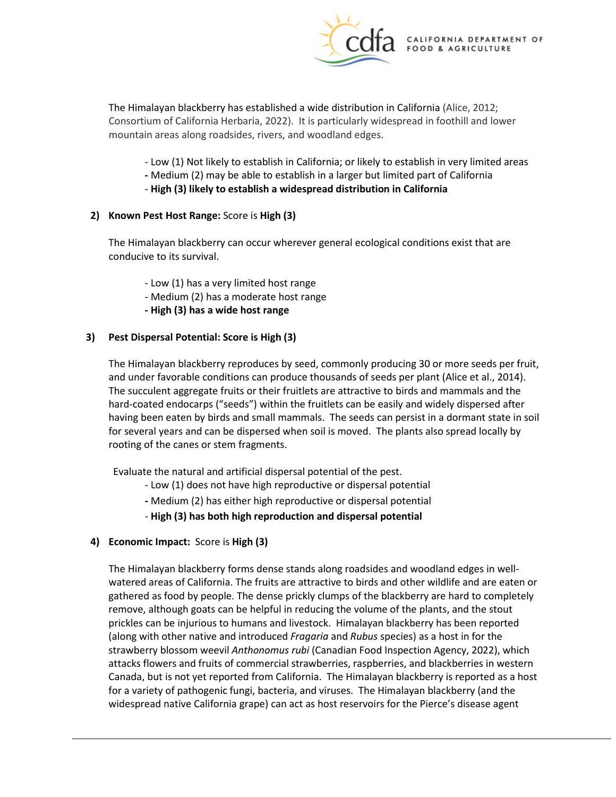

 Consortium of California Herbaria, 2022). It is particularly widespread in foothill and lower The Himalayan blackberry has established a wide distribution in California (Alice, 2012; mountain areas along roadsides, rivers, and woodland edges.

- Low (1) Not likely to establish in California; or likely to establish in very limited areas
- **-** Medium (2) may be able to establish in a larger but limited part of California
- **High (3) likely to establish a widespread distribution in California**

#### **2) Known Pest Host Range:** Score is **High (3)**

The Himalayan blackberry can occur wherever general ecological conditions exist that are conducive to its survival.

- Low (1) has a very limited host range
- Medium (2) has a moderate host range
- **- High (3) has a wide host range**

## **3) Pest Dispersal Potential: Score is High (3)**

 having been eaten by birds and small mammals. The seeds can persist in a dormant state in soil for several years and can be dispersed when soil is moved. The plants also spread locally by rooting of the canes or stem fragments. The Himalayan blackberry reproduces by seed, commonly producing 30 or more seeds per fruit, and under favorable conditions can produce thousands of seeds per plant (Alice et al., 2014). The succulent aggregate fruits or their fruitlets are attractive to birds and mammals and the hard-coated endocarps ("seeds") within the fruitlets can be easily and widely dispersed after

Evaluate the natural and artificial dispersal potential of the pest.

- Low (1) does not have high reproductive or dispersal potential
- **-** Medium (2) has either high reproductive or dispersal potential
- **High (3) has both high reproduction and dispersal potential**

# **4) Economic Impact:** Score is **High (3)**

 The Himalayan blackberry forms dense stands along roadsides and woodland edges in well- watered areas of California. The fruits are attractive to birds and other wildlife and are eaten or prickles can be injurious to humans and livestock. Himalayan blackberry has been reported (along with other native and introduced *Fragaria* and *Rubus* species) as a host in for the attacks flowers and fruits of commercial strawberries, raspberries, and blackberries in western for a variety of pathogenic fungi, bacteria, and viruses. The Himalayan blackberry (and the widespread native California grape) can act as host reservoirs for the Pierce's disease agent gathered as food by people. The dense prickly clumps of the blackberry are hard to completely remove, although goats can be helpful in reducing the volume of the plants, and the stout strawberry blossom weevil *Anthonomus rubi* (Canadian Food Inspection Agency, 2022), which Canada, but is not yet reported from California. The Himalayan blackberry is reported as a host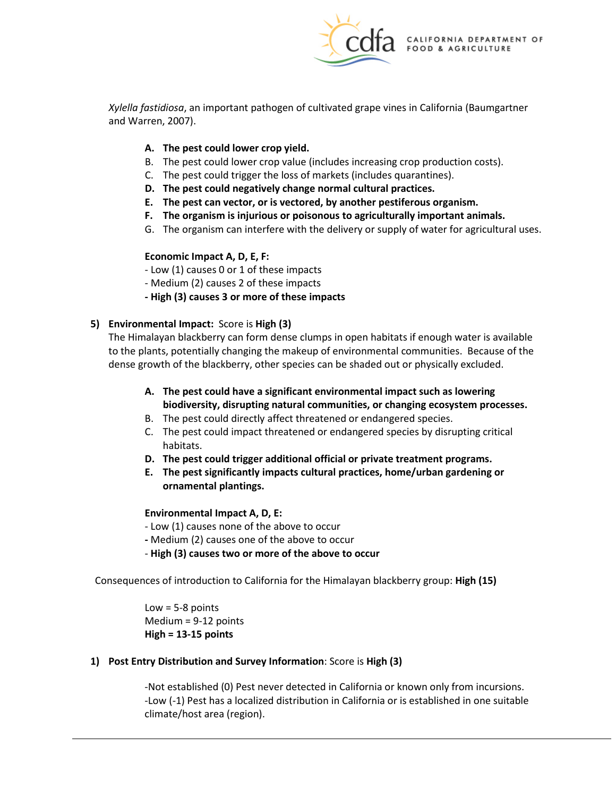

*Xylella fastidiosa*, an important pathogen of cultivated grape vines in California (Baumgartner and Warren, 2007).

# **A. The pest could lower crop yield.**

- B. The pest could lower crop value (includes increasing crop production costs).
- C. The pest could trigger the loss of markets (includes quarantines).
- **D. The pest could negatively change normal cultural practices.**
- **E. The pest can vector, or is vectored, by another pestiferous organism.**
- **F. The organism is injurious or poisonous to agriculturally important animals.**
- G. The organism can interfere with the delivery or supply of water for agricultural uses.

# **Economic Impact A, D, E, F:**

- Low (1) causes 0 or 1 of these impacts

- Medium (2) causes 2 of these impacts
- **- High (3) causes 3 or more of these impacts**

## **5) Environmental Impact:** Score is **High (3)**

 The Himalayan blackberry can form dense clumps in open habitats if enough water is available to the plants, potentially changing the makeup of environmental communities. Because of the dense growth of the blackberry, other species can be shaded out or physically excluded.

- **A. The pest could have a significant environmental impact such as lowering biodiversity, disrupting natural communities, or changing ecosystem processes.**
- B. The pest could directly affect threatened or endangered species.
- habitats. C. The pest could impact threatened or endangered species by disrupting critical
- **D. The pest could trigger additional official or private treatment programs.**
- **E. The pest significantly impacts cultural practices, home/urban gardening or ornamental plantings.**

# **Environmental Impact A, D, E:**

- Low (1) causes none of the above to occur
- **-** Medium (2) causes one of the above to occur
- **High (3) causes two or more of the above to occur**

 Consequences of introduction to California for the Himalayan blackberry group: **High (15)** 

 $Low = 5-8$  points Medium = 9-12 points **High = 13-15 points** 

# **1) Post Entry Distribution and Survey Information**: Score is **High (3)**

-Not established (0) Pest never detected in California or known only from incursions. -Low (-1) Pest has a localized distribution in California or is established in one suitable climate/host area (region).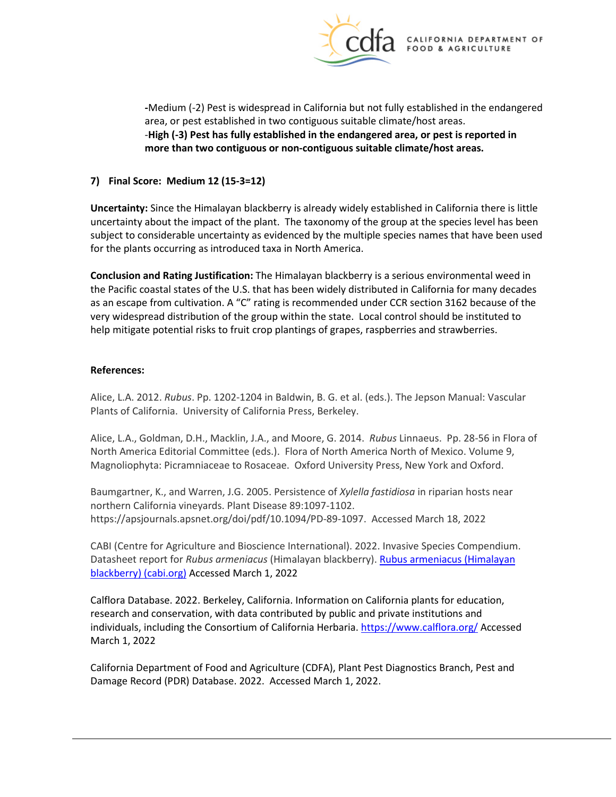

 **more than two contiguous or non-contiguous suitable climate/host areas. 7) Final Score: Medium 12 (15-3=12) -**Medium (-2) Pest is widespread in California but not fully established in the endangered area, or pest established in two contiguous suitable climate/host areas. -**High (-3) Pest has fully established in the endangered area, or pest is reported in** 

**Uncertainty:** Since the Himalayan blackberry is already widely established in California there is little uncertainty about the impact of the plant. The taxonomy of the group at the species level has been subject to considerable uncertainty as evidenced by the multiple species names that have been used for the plants occurring as introduced taxa in North America.

 **Conclusion and Rating Justification:** The Himalayan blackberry is a serious environmental weed in the Pacific coastal states of the U.S. that has been widely distributed in California for many decades very widespread distribution of the group within the state. Local control should be instituted to as an escape from cultivation. A "C" rating is recommended under CCR section 3162 because of the help mitigate potential risks to fruit crop plantings of grapes, raspberries and strawberries.

#### **References:**

 Plants of California. University of California Press, Berkeley. Alice, L.A. 2012. *Rubus*. Pp. 1202-1204 in Baldwin, B. G. et al. (eds.). The Jepson Manual: Vascular

 Alice, L.A., Goldman, D.H., Macklin, J.A., and Moore, G. 2014. *Rubus* Linnaeus. Pp. 28-56 in Flora of Magnoliophyta: Picramniaceae to Rosaceae. Oxford University Press, New York and Oxford. North America Editorial Committee (eds.). Flora of North America North of Mexico. Volume 9,

Baumgartner, K., and Warren, J.G. 2005. Persistence of *Xylella fastidiosa* in riparian hosts near northern California vineyards. Plant Disease 89:1097-1102. <https://apsjournals.apsnet.org/doi/pdf/10.1094/PD-89-1097>. Accessed March 18, 2022

CABI (Centre for Agriculture and Bioscience International). 2022. Invasive Species Compendium. Datasheet report for *Rubus armeniacus* (Himalayan blackberry). [Rubus armeniacus \(Himalayan](https://www.cabi.org/isc/datasheet/116780)  [blackberry\) \(cabi.org\)](https://www.cabi.org/isc/datasheet/116780) Accessed March 1, 2022

 Calflora Database. 2022. Berkeley, California. Information on California plants for education, research and conservation, with data contributed by public and private institutions and individuals, including the [Consortium of California Herbaria.](http://ucjeps.berkeley.edu/consortium/about.html)<https://www.calflora.org/>Accessed March 1, 2022

 California Department of Food and Agriculture (CDFA), Plant Pest Diagnostics Branch, Pest and Damage Record (PDR) Database. 2022. Accessed March 1, 2022.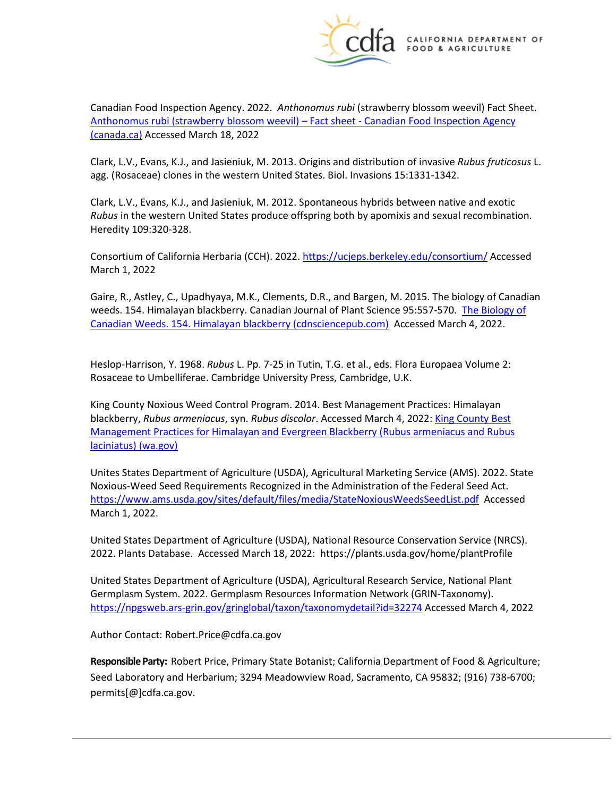

 Canadian Food Inspection Agency. 2022. *Anthonomus rubi* (strawberry blossom weevil) Fact Sheet. [Anthonomus rubi \(strawberry blossom weevil\) – Fact sheet -](https://inspection.canada.ca/plant-health/invasive-species/insects/strawberry-blossom-weevil/fact-sheet/eng/1632774012031/1632774012719?msclkid=cd803dc0a6e011ecb4ea2360de9d37b4) Canadian Food Inspection Agency [\(canada.ca\) A](https://inspection.canada.ca/plant-health/invasive-species/insects/strawberry-blossom-weevil/fact-sheet/eng/1632774012031/1632774012719?msclkid=cd803dc0a6e011ecb4ea2360de9d37b4)ccessed March 18, 2022

 Clark, L.V., Evans, K.J., and Jasieniuk, M. 2013. Origins and distribution of invasive *Rubus fruticosus* L. agg. (Rosaceae) clones in the western United States. Biol. Invasions 15:1331-1342.

 Clark, L.V., Evans, K.J., and Jasieniuk, M. 2012. Spontaneous hybrids between native and exotic *Rubus* in the western United States produce offspring both by apomixis and sexual recombination. Heredity 109:320-328.

Consortium of California Herbaria (CCH). 2022.<https://ucjeps.berkeley.edu/consortium/>Accessed March 1, 2022

 Gaire, R., Astley, C., Upadhyaya, M.K., Clements, D.R., and Bargen, M. 2015. The biology of Canadian weeds. 154. Himalayan blackberry. Canadian Journal of Plant Science 95:557-570. The Biology of [Canadian Weeds. 154. Himalayan blackberry \(cdnsciencepub.com\)](https://cdnsciencepub.com/doi/full/10.4141/cjps-2014-402) Accessed March 4, 2022.

 Heslop-Harrison, Y. 1968. *Rubus* L. Pp. 7-25 in Tutin, T.G. et al., eds. Flora Europaea Volume 2: Rosaceae to Umbelliferae. Cambridge University Press, Cambridge, U.K.

 King County Noxious Weed Control Program. 2014. Best Management Practices: Himalayan blackberry, *Rubus armeniacus*, syn. *Rubus discolor*. Accessed March 4, 2022[: King County Best](https://www.nwcb.wa.gov/pdfs/blackberry-control_King.pdf)  [Management Practices for Himalayan and Evergreen Blackberry \(Rubus armeniacus and Rubus](https://www.nwcb.wa.gov/pdfs/blackberry-control_King.pdf)  [laciniatus\) \(wa.gov\)](https://www.nwcb.wa.gov/pdfs/blackberry-control_King.pdf) 

<https://www.ams.usda.gov/sites/default/files/media/StateNoxiousWeedsSeedList.pdf>Accessed Unites States Department of Agriculture (USDA), Agricultural Marketing Service (AMS). 2022. State Noxious-Weed Seed Requirements Recognized in the Administration of the Federal Seed Act. March 1, 2022.

 United States Department of Agriculture (USDA), National Resource Conservation Service (NRCS). 2022. Plants Database. Accessed March 18, 2022: <https://plants.usda.gov/home/plantProfile>

 United States Department of Agriculture (USDA), Agricultural Research Service, National Plant Germplasm System. 2022. Germplasm Resources Information Network (GRIN-Taxonomy). <https://npgsweb.ars-grin.gov/gringlobal/taxon/taxonomydetail?id=32274>Accessed March 4, 2022

Author Contact: [Robert.Price@cdfa.ca.gov](mailto:Robert.Price@cdfa.ca.gov) 

 **Responsible Party:** Robert Price, Primary State Botanist; California Department of Food & Agriculture; Seed Laboratory and Herbarium; 3294 Meadowview Road, Sacramento, CA 95832; (916) 738-6700; [permits\[@\]cdfa.ca.gov](https://permits[@]cdfa.ca.gov).